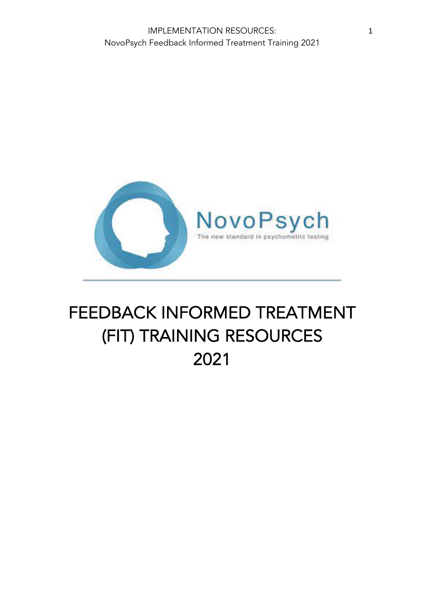

# FEEDBACK INFORMED TREATMENT (FIT) TRAINING RESOURCES 2021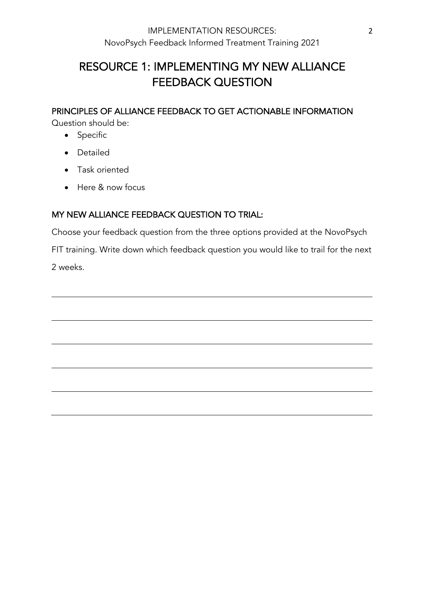# RESOURCE 1: IMPLEMENTING MY NEW ALLIANCE FEEDBACK QUESTION

PRINCIPLES OF ALLIANCE FEEDBACK TO GET ACTIONABLE INFORMATION

Question should be:

- Specific
- Detailed
- Task oriented
- Here & now focus

# MY NEW ALLIANCE FEEDBACK QUESTION TO TRIAL:

Choose your feedback question from the three options provided at the NovoPsych FIT training. Write down which feedback question you would like to trail for the next 2 weeks.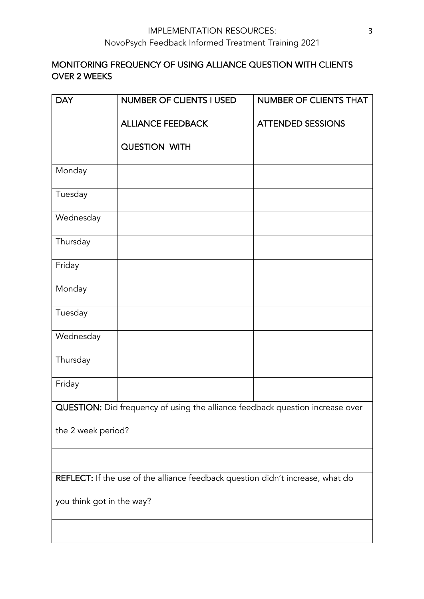# MONITORING FREQUENCY OF USING ALLIANCE QUESTION WITH CLIENTS OVER 2 WEEKS

| <b>DAY</b>                                                                     | <b>NUMBER OF CLIENTS I USED</b> | <b>NUMBER OF CLIENTS THAT</b> |
|--------------------------------------------------------------------------------|---------------------------------|-------------------------------|
|                                                                                | <b>ALLIANCE FEEDBACK</b>        | <b>ATTENDED SESSIONS</b>      |
|                                                                                | QUESTION WITH                   |                               |
| Monday                                                                         |                                 |                               |
| Tuesday                                                                        |                                 |                               |
| Wednesday                                                                      |                                 |                               |
| Thursday                                                                       |                                 |                               |
| Friday                                                                         |                                 |                               |
| Monday                                                                         |                                 |                               |
| Tuesday                                                                        |                                 |                               |
| Wednesday                                                                      |                                 |                               |
| Thursday                                                                       |                                 |                               |
| Friday                                                                         |                                 |                               |
| QUESTION: Did frequency of using the alliance feedback question increase over  |                                 |                               |
| the 2 week period?                                                             |                                 |                               |
|                                                                                |                                 |                               |
| REFLECT: If the use of the alliance feedback question didn't increase, what do |                                 |                               |
| you think got in the way?                                                      |                                 |                               |
|                                                                                |                                 |                               |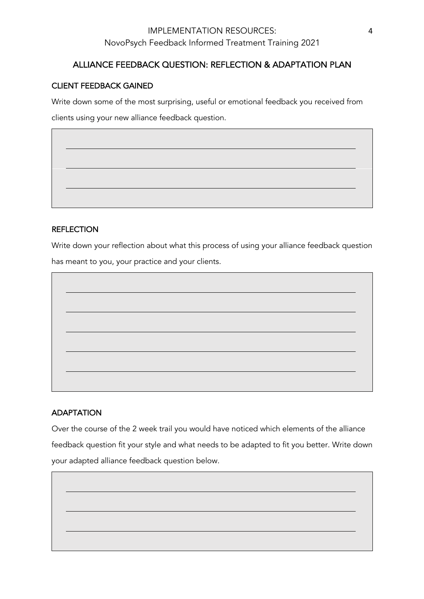# IMPLEMENTATION RESOURCES: NovoPsych Feedback Informed Treatment Training 2021

# ALLIANCE FEEDBACK QUESTION: REFLECTION & ADAPTATION PLAN

#### CLIENT FEEDBACK GAINED

Write down some of the most surprising, useful or emotional feedback you received from

clients using your new alliance feedback question.

#### **REFLECTION**

Write down your reflection about what this process of using your alliance feedback question

has meant to you, your practice and your clients.

#### ADAPTATION

Over the course of the 2 week trail you would have noticed which elements of the alliance feedback question fit your style and what needs to be adapted to fit you better. Write down your adapted alliance feedback question below.

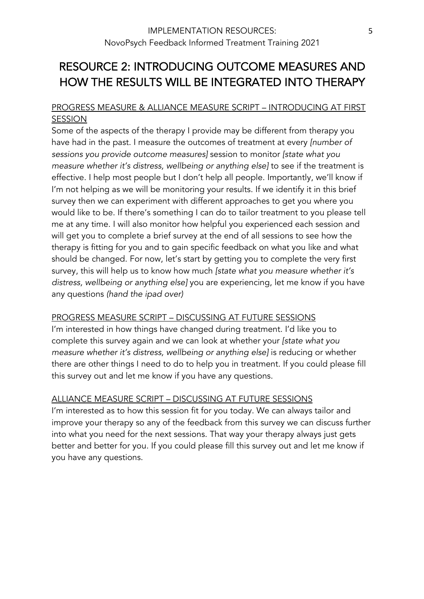# RESOURCE 2: INTRODUCING OUTCOME MEASURES AND HOW THE RESULTS WILL BE INTEGRATED INTO THERAPY

# PROGRESS MEASURE & ALLIANCE MEASURE SCRIPT – INTRODUCING AT FIRST SESSION

Some of the aspects of the therapy I provide may be different from therapy you have had in the past. I measure the outcomes of treatment at every *[number of sessions you provide outcome measures]* session to monitor *[state what you measure whether it's distress, wellbeing or anything else]* to see if the treatment is effective. I help most people but I don't help all people. Importantly, we'll know if I'm not helping as we will be monitoring your results. If we identify it in this brief survey then we can experiment with different approaches to get you where you would like to be. If there's something I can do to tailor treatment to you please tell me at any time. I will also monitor how helpful you experienced each session and will get you to complete a brief survey at the end of all sessions to see how the therapy is fitting for you and to gain specific feedback on what you like and what should be changed. For now, let's start by getting you to complete the very first survey, this will help us to know how much *[state what you measure whether it's distress, wellbeing or anything else]* you are experiencing, let me know if you have any questions *(hand the ipad over)*

#### PROGRESS MEASURE SCRIPT – DISCUSSING AT FUTURE SESSIONS

I'm interested in how things have changed during treatment. I'd like you to complete this survey again and we can look at whether your *[state what you measure whether it's distress, wellbeing or anything else]* is reducing or whether there are other things I need to do to help you in treatment. If you could please fill this survey out and let me know if you have any questions.

# ALLIANCE MEASURE SCRIPT – DISCUSSING AT FUTURE SESSIONS

I'm interested as to how this session fit for you today. We can always tailor and improve your therapy so any of the feedback from this survey we can discuss further into what you need for the next sessions. That way your therapy always just gets better and better for you. If you could please fill this survey out and let me know if you have any questions.